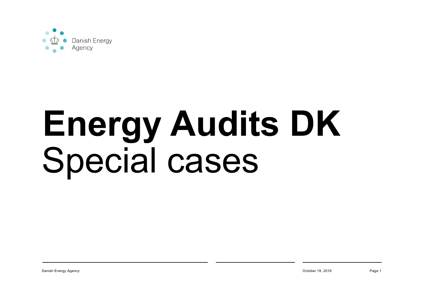

# **Energy Audits DK** Special cases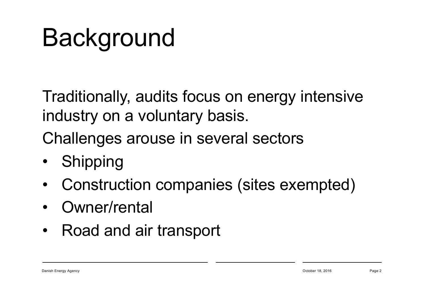#### **Background**

Traditionally, audits focus on energy intensive industry on a voluntary basis.

Challenges arouse in several sectors

- **Shipping**
- Construction companies (sites exempted)
- Owner/rental
- Road and air transport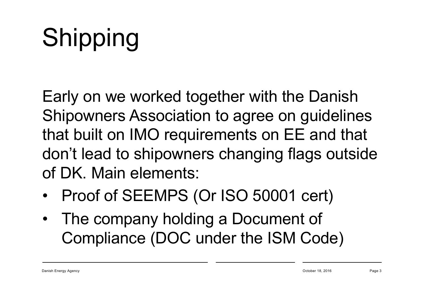## Shipping

Early on we worked together with the Danish Shipowners Association to agree on guidelines that built on IMO requirements on EE and that don't lead to shipowners changing flags outside of DK. Main elements:

- Proof of SEEMPS (Or ISO 50001 cert)
- The company holding a Document of Compliance (DOC under the ISM Code)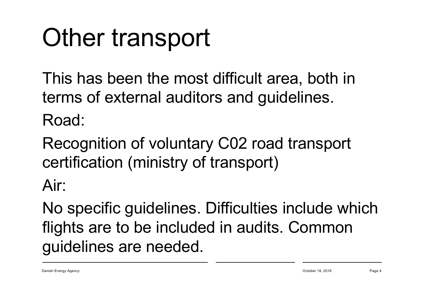### Other transport

This has been the most difficult area, both in terms of external auditors and guidelines. Road:

Recognition of voluntary C02 road transport certification (ministry of transport)

Air:

No specific guidelines. Difficulties include which flights are to be included in audits. Common guidelines are needed.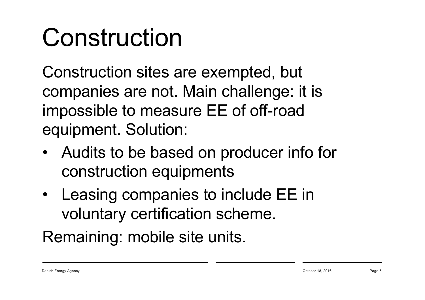#### Construction

Construction sites are exempted, but companies are not. Main challenge: it is impossible to measure EE of off-road equipment. Solution:

- Audits to be based on producer info for construction equipments
- Leasing companies to include EE in voluntary certification scheme.

Remaining: mobile site units.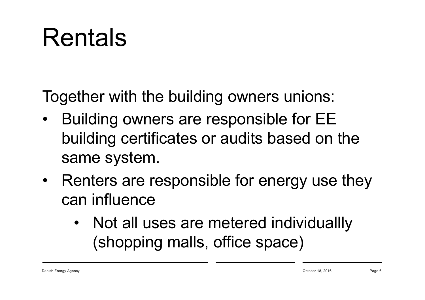#### Rentals

Together with the building owners unions:

- Building owners are responsible for EE building certificates or audits based on the same system.
- Renters are responsible for energy use they can influence
	- Not all uses are metered individuallly (shopping malls, office space)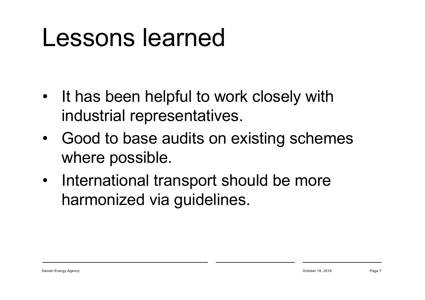#### Lessons learned

- It has been helpful to work closely with industrial representatives.
- Good to base audits on existing schemes where possible.
- International transport should be more harmonized via guidelines.